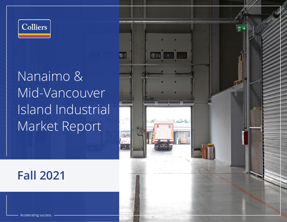### Colliers

# Nanaimo & Mid-Vancouver Island Industrial Market Report

### **Fall 2021**

经市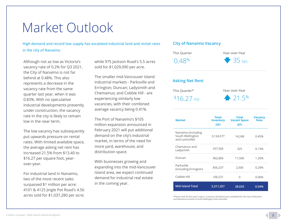## Market Outlook

High demand and record low supply has escalated industrial land and rental rates in the city of Nanaimo.

Although not as low as Victoria's vacancy rate of 0.2% for Q3 2021, the City of Nanaimo is not far behind at 0.48%. This also represents a decrease in the vacancy rate from the same quarter last year, when it was 0.83%. With no speculative industrial developments presently under construction, the vacancy rate in the city is likely to remain low in the near term.

The low vacancy has subsequently put upwards pressure on rental rates. With limited available space, the average asking net rent has increased 21.5% from \$13.40 to \$16.27 per square foot, yearover-year.

For industrial land in Nanaimo, two of the most recent sales surpassed \$1 million per acre: 4101 & 4125 Jingle Pot Road's 4.56 acres sold for \$1,037,280 per acre; while 975 Jackson Road's 5.5 acres sold for \$1,029,090 per acre.

The smaller mid-Vancouver Island industrial markets - Parksville and Errington; Duncan; Ladysmith and Chemainus; and Cobble Hill - are experiencing similarly low vacancies, with their combined average vacancy being 0.41%.

The Port of Nanaimo's \$105 million expansion announced in February 2021 will put additional demand on the city's industrial market, in terms of the need for more yard, warehouse, and distribution space.

With businesses growing and expanding into the mid-Vancouver Island area, we expect continued demand for industrial real estate in the coming year.

#### **City of Nanaimo Vacancy**



| <b>Market</b>                                             | <b>Total</b><br><b>Inventory</b><br>(SF) | <b>Total</b><br><b>Vacant Space</b><br>(SF) | <b>Vacancy</b><br>Rate |
|-----------------------------------------------------------|------------------------------------------|---------------------------------------------|------------------------|
| Nanaimo (including<br>South Wellington<br>and Lantzville) | 3,134,577                                | 14,248                                      | 0.45%                  |
| Chemainus and<br>Ladysmith                                | 257,506                                  | 325                                         | 0.13%                  |
| Duncan                                                    | 962,806                                  | 11,560                                      | 1.20%                  |
| Parksville<br>(including Errington)                       | 856,237                                  | 2,500                                       | 0.29%                  |
| Cobble Hill                                               | 100,231                                  | 0                                           | 0.00%                  |
| <b>Mid Island Total</b>                                   | 5,311,357                                | 28,633                                      | 0.54%                  |

\*Please note for this year's report, a vacancy calculation was completed for the City of Nanaimo, and Nanaimo inclusive of South Wellington and Lantzvillle.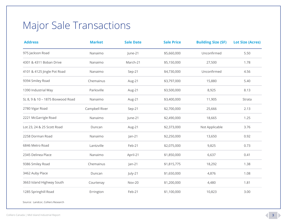### Major Sale Transactions

| <b>Address</b>                   | <b>Market</b>  | <b>Sale Date</b> | <b>Sale Price</b> | <b>Building Size (SF)</b> | <b>Lot Size (Acres)</b> |
|----------------------------------|----------------|------------------|-------------------|---------------------------|-------------------------|
| 975 Jackson Road                 | Nanaimo        | June-21          | \$5,660,000       | Unconfirmed               | 5.50                    |
| 4301 & 4311 Boban Drive          | Nanaimo        | March-21         | \$5,150,000       | 27,500                    | 1.78                    |
| 4101 & 4125 Jingle Pot Road      | Nanaimo        | Sep-21           | \$4,730,000       | Unconfirmed               | 4.56                    |
| 9394 Smiley Road                 | Chemainus      | Aug-21           | \$3,797,000       | 15,880                    | 5.40                    |
| 1390 Industrial Way              | Parksville     | Aug-21           | \$3,500,000       | 8,925                     | 8.13                    |
| SL 8, 9 & 10 - 1875 Boxwood Road | Nanaimo        | Aug-21           | \$3,400,000       | 11,905                    | Strata                  |
| 2780 Vigar Road                  | Campbell River | Sep-21           | \$2,700,000       | 25,666                    | 2.13                    |
| 2221 McGarrigle Road             | Nanaimo        | June-21          | \$2,490,000       | 18,665                    | 1.25                    |
| Lot 23, 24 & 25 Scott Road       | Duncan         | Aug-21           | \$2,373,000       | Not Applicable            | 3.76                    |
| 2258 Dorman Road                 | Nanaimo        | $Jan-21$         | \$2,250,000       | 13,650                    | 0.92                    |
| 6846 Metro Road                  | Lantzville     | Feb-21           | \$2,075,000       | 9,825                     | 0.73                    |
| 2345 Delinea Place               | Nanaimo        | April-21         | \$1,850,000       | 6,637                     | 0.41                    |
| 9386 Smiley Road                 | Chemainus      | $Jan-21$         | \$1,815,775       | 18,292                    | 1.38                    |
| 3462 Auby Place                  | Duncan         | July-21          | \$1,650,000       | 4,876                     | 1.08                    |
| 3663 Island Highway South        | Courtenay      | Nov-20           | \$1,200,000       | 4,480                     | 1.81                    |
| 1285 Springhill Road             | Errington      | Feb-21           | \$1,100,000       | 10,823                    | 3.00                    |

Source: Landcor, Colliers Research